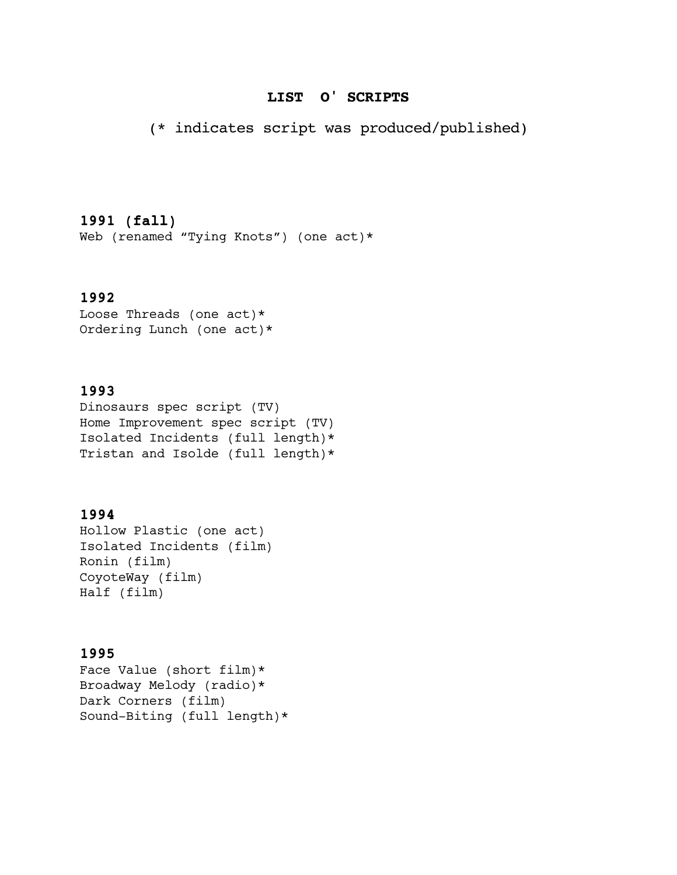## **LIST O' SCRIPTS**

(\* indicates script was produced/published)

# **1991 (fall)**

Web (renamed "Tying Knots") (one act)\*

# **1992**

Loose Threads (one act)\* Ordering Lunch (one act)\*

# **1993**

Dinosaurs spec script (TV) Home Improvement spec script (TV) Isolated Incidents (full length)\* Tristan and Isolde (full length)\*

# **1994**

Hollow Plastic (one act) Isolated Incidents (film) Ronin (film) CoyoteWay (film) Half (film)

## **1995**

Face Value (short film)\* Broadway Melody (radio)\* Dark Corners (film) Sound-Biting (full length)\*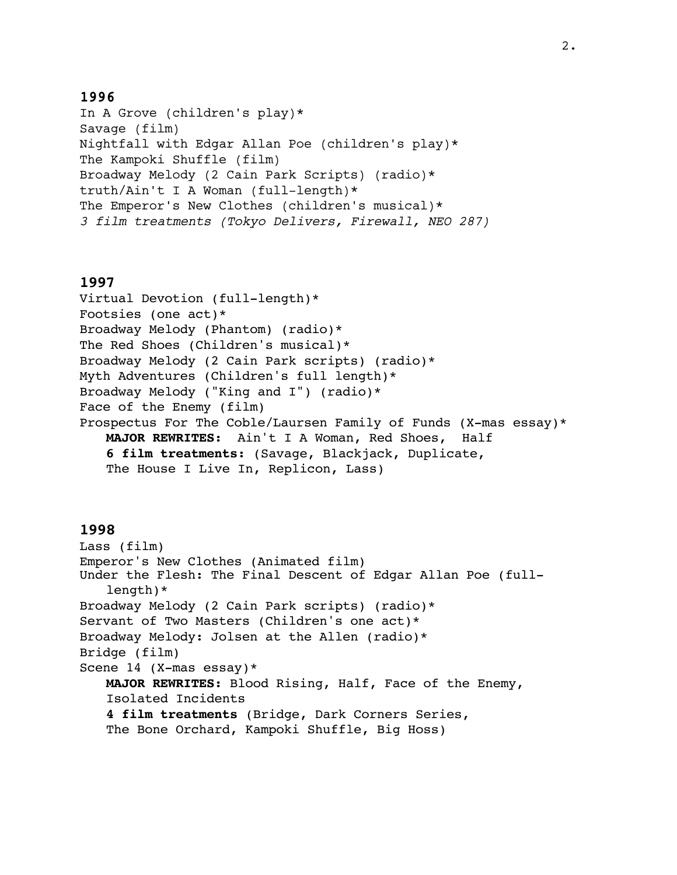In A Grove (children's play)\* Savage (film) Nightfall with Edgar Allan Poe (children's play)\* The Kampoki Shuffle (film) Broadway Melody (2 Cain Park Scripts) (radio)\* truth/Ain't I A Woman (full-length)\* The Emperor's New Clothes (children's musical)\* *3 film treatments (Tokyo Delivers, Firewall, NEO 287)*

#### **1997**

```
Virtual Devotion (full-length)*
Footsies (one act)*
Broadway Melody (Phantom) (radio)*
The Red Shoes (Children's musical)*
Broadway Melody (2 Cain Park scripts) (radio)*
Myth Adventures (Children's full length)*
Broadway Melody ("King and I") (radio)*
Face of the Enemy (film)
Prospectus For The Coble/Laursen Family of Funds (X-mas essay)*
   MAJOR REWRITES: Ain't I A Woman, Red Shoes, Half
   6 film treatments: (Savage, Blackjack, Duplicate, 
   The House I Live In, Replicon, Lass)
```
#### **1998**

```
Lass (film)
Emperor's New Clothes (Animated film)
Under the Flesh: The Final Descent of Edgar Allan Poe (full-
   length)*
Broadway Melody (2 Cain Park scripts) (radio)*
Servant of Two Masters (Children's one act)*
Broadway Melody: Jolsen at the Allen (radio)*
Bridge (film)
Scene 14 (X-mas essay)*
   MAJOR REWRITES: Blood Rising, Half, Face of the Enemy, 
   Isolated Incidents
   4 film treatments (Bridge, Dark Corners Series, 
   The Bone Orchard, Kampoki Shuffle, Big Hoss)
```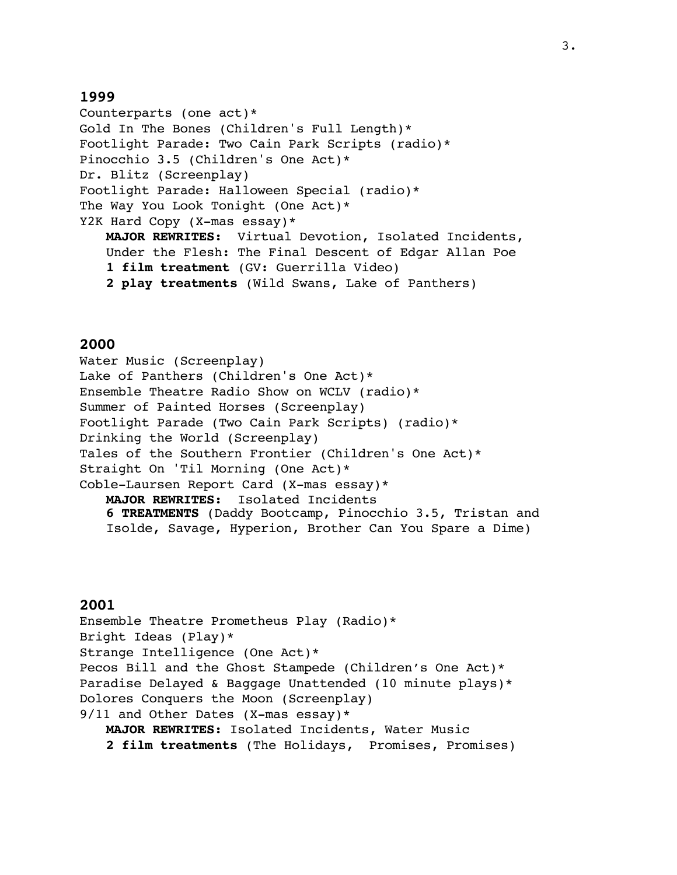Counterparts (one act)\* Gold In The Bones (Children's Full Length)\* Footlight Parade: Two Cain Park Scripts (radio)\* Pinocchio 3.5 (Children's One Act)\* Dr. Blitz (Screenplay) Footlight Parade: Halloween Special (radio)\* The Way You Look Tonight (One Act)\* Y2K Hard Copy (X-mas essay)\* **MAJOR REWRITES:** Virtual Devotion, Isolated Incidents, Under the Flesh: The Final Descent of Edgar Allan Poe **1 film treatment** (GV: Guerrilla Video) **2 play treatments** (Wild Swans, Lake of Panthers)

### **2000**

Water Music (Screenplay) Lake of Panthers (Children's One Act)\* Ensemble Theatre Radio Show on WCLV (radio)\* Summer of Painted Horses (Screenplay) Footlight Parade (Two Cain Park Scripts) (radio)\* Drinking the World (Screenplay) Tales of the Southern Frontier (Children's One Act)\* Straight On 'Til Morning (One Act)\* Coble-Laursen Report Card (X-mas essay)\* **MAJOR REWRITES:** Isolated Incidents **6 TREATMENTS** (Daddy Bootcamp, Pinocchio 3.5, Tristan and Isolde, Savage, Hyperion, Brother Can You Spare a Dime)

### **2001**

Ensemble Theatre Prometheus Play (Radio)\* Bright Ideas (Play)\* Strange Intelligence (One Act)\* Pecos Bill and the Ghost Stampede (Children's One Act)\* Paradise Delayed & Baggage Unattended (10 minute plays)\* Dolores Conquers the Moon (Screenplay) 9/11 and Other Dates (X-mas essay)\* **MAJOR REWRITES:** Isolated Incidents, Water Music **2 film treatments** (The Holidays, Promises, Promises)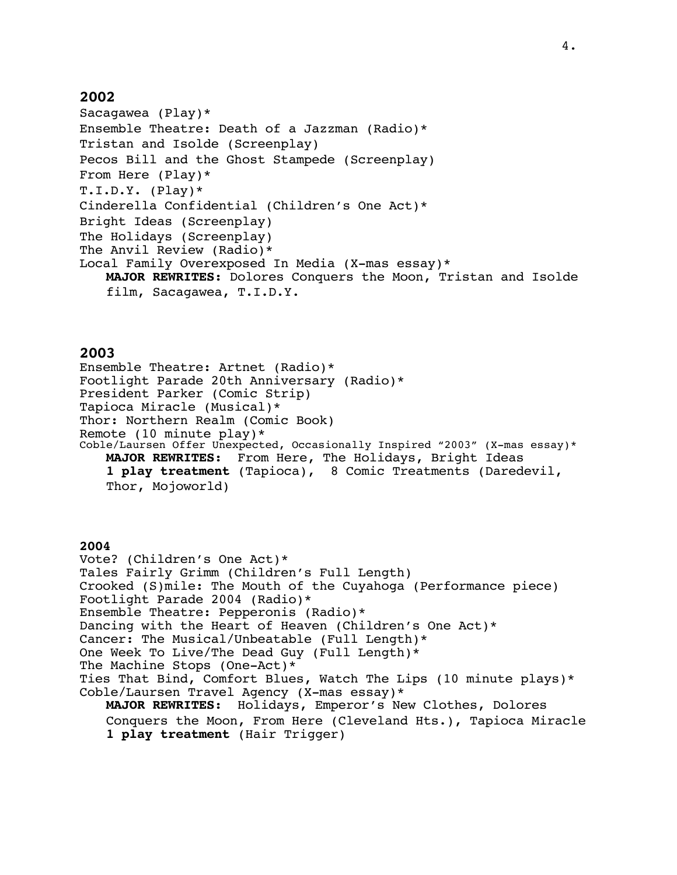Sacagawea (Play)\* Ensemble Theatre: Death of a Jazzman (Radio)\* Tristan and Isolde (Screenplay) Pecos Bill and the Ghost Stampede (Screenplay) From Here (Play)\*  $T.L.D.Y.$  (Play)\* Cinderella Confidential (Children's One Act)\* Bright Ideas (Screenplay) The Holidays (Screenplay) The Anvil Review (Radio)\* Local Family Overexposed In Media (X-mas essay)\* **MAJOR REWRITES:** Dolores Conquers the Moon, Tristan and Isolde film, Sacagawea, T.I.D.Y.

### **2003**

Ensemble Theatre: Artnet (Radio)\* Footlight Parade 20th Anniversary (Radio)\* President Parker (Comic Strip) Tapioca Miracle (Musical)\* Thor: Northern Realm (Comic Book) Remote (10 minute play)\* Coble/Laursen Offer Unexpected, Occasionally Inspired "2003" (X-mas essay)\* **MAJOR REWRITES:** From Here, The Holidays, Bright Ideas **1 play treatment** (Tapioca), 8 Comic Treatments (Daredevil, Thor, Mojoworld)

## **2004**

Vote? (Children's One Act)\* Tales Fairly Grimm (Children's Full Length) Crooked (S)mile: The Mouth of the Cuyahoga (Performance piece) Footlight Parade 2004 (Radio)\* Ensemble Theatre: Pepperonis (Radio)\* Dancing with the Heart of Heaven (Children's One Act)\* Cancer: The Musical/Unbeatable (Full Length)\* One Week To Live/The Dead Guy (Full Length)\* The Machine Stops (One-Act)\* Ties That Bind, Comfort Blues, Watch The Lips (10 minute plays)\* Coble/Laursen Travel Agency (X-mas essay)\* **MAJOR REWRITES:** Holidays, Emperor's New Clothes, Dolores Conquers the Moon, From Here (Cleveland Hts.), Tapioca Miracle **1 play treatment** (Hair Trigger)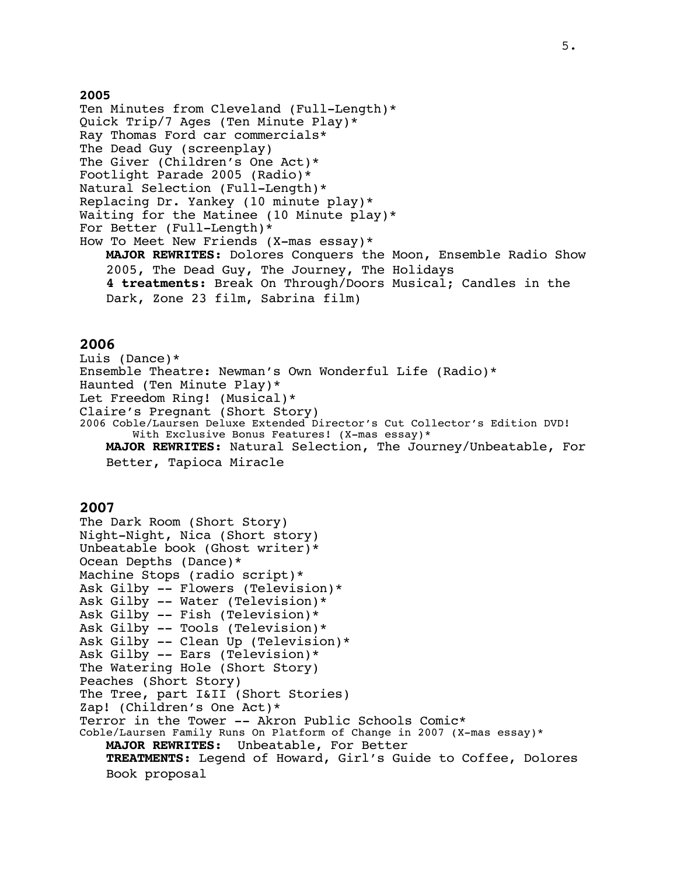Ten Minutes from Cleveland (Full-Length)\* Quick Trip/7 Ages (Ten Minute Play)\* Ray Thomas Ford car commercials\* The Dead Guy (screenplay) The Giver (Children's One Act)\* Footlight Parade 2005 (Radio)\* Natural Selection (Full-Length)\* Replacing Dr. Yankey (10 minute play)\* Waiting for the Matinee (10 Minute play)\* For Better (Full-Length)\* How To Meet New Friends (X-mas essay)\* **MAJOR REWRITES:** Dolores Conquers the Moon, Ensemble Radio Show 2005, The Dead Guy, The Journey, The Holidays **4 treatments:** Break On Through/Doors Musical; Candles in the Dark, Zone 23 film, Sabrina film)

#### **2006**

Luis (Dance)\* Ensemble Theatre: Newman's Own Wonderful Life (Radio)\* Haunted (Ten Minute Play)\* Let Freedom Ring! (Musical)\* Claire's Pregnant (Short Story) 2006 Coble/Laursen Deluxe Extended Director's Cut Collector's Edition DVD! With Exclusive Bonus Features! (X-mas essay)\* **MAJOR REWRITES:** Natural Selection, The Journey/Unbeatable, For Better, Tapioca Miracle

#### **2007**

```
The Dark Room (Short Story)
Night-Night, Nica (Short story)
Unbeatable book (Ghost writer)*
Ocean Depths (Dance)*
Machine Stops (radio script)*
Ask Gilby -- Flowers (Television)*
Ask Gilby -- Water (Television)*
Ask Gilby -- Fish (Television)*
Ask Gilby -- Tools (Television)*
Ask Gilby -- Clean Up (Television)*
Ask Gilby -- Ears (Television)*
The Watering Hole (Short Story)
Peaches (Short Story)
The Tree, part I&II (Short Stories)
Zap! (Children's One Act)*
Terror in the Tower -- Akron Public Schools Comic*
Coble/Laursen Family Runs On Platform of Change in 2007 (X-mas essay)*
   MAJOR REWRITES: Unbeatable, For Better
   TREATMENTS: Legend of Howard, Girl's Guide to Coffee, Dolores 
   Book proposal
```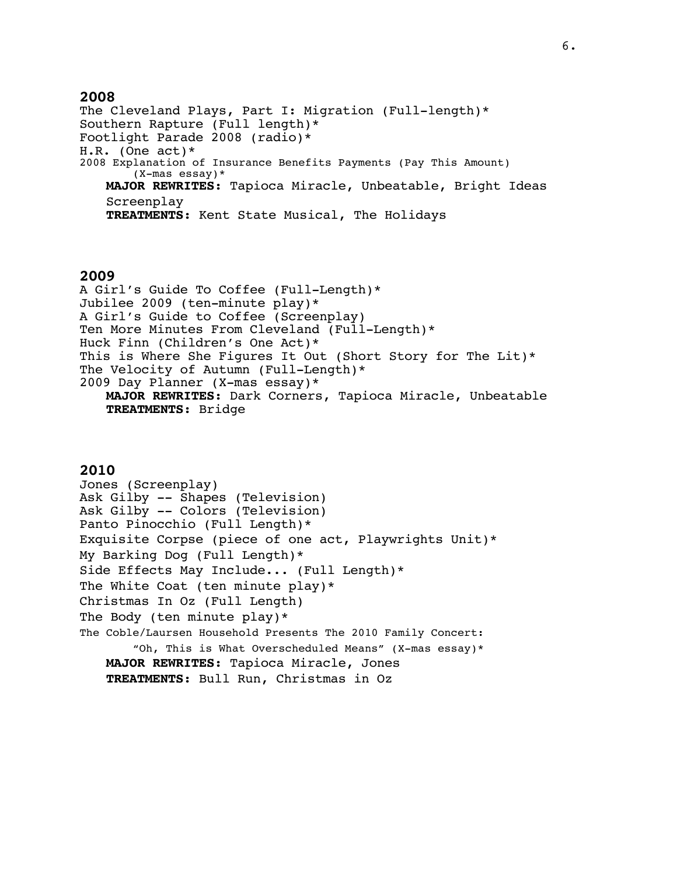The Cleveland Plays, Part I: Migration (Full-length)\* Southern Rapture (Full length)\* Footlight Parade 2008 (radio)\* H.R. (One act)\* 2008 Explanation of Insurance Benefits Payments (Pay This Amount) (X-mas essay)\* **MAJOR REWRITES:** Tapioca Miracle, Unbeatable, Bright Ideas Screenplay **TREATMENTS:** Kent State Musical, The Holidays

#### **2009**

A Girl's Guide To Coffee (Full-Length)\* Jubilee 2009 (ten-minute play)\* A Girl's Guide to Coffee (Screenplay) Ten More Minutes From Cleveland (Full-Length)\* Huck Finn (Children's One Act)\* This is Where She Figures It Out (Short Story for The Lit)\* The Velocity of Autumn (Full-Length)\* 2009 Day Planner (X-mas essay)\* **MAJOR REWRITES:** Dark Corners, Tapioca Miracle, Unbeatable **TREATMENTS:** Bridge

#### **2010**

Jones (Screenplay) Ask Gilby -- Shapes (Television) Ask Gilby -- Colors (Television) Panto Pinocchio (Full Length)\* Exquisite Corpse (piece of one act, Playwrights Unit)\* My Barking Dog (Full Length)\* Side Effects May Include... (Full Length)\* The White Coat (ten minute play)\* Christmas In Oz (Full Length) The Body (ten minute play)\* The Coble/Laursen Household Presents The 2010 Family Concert: "Oh, This is What Overscheduled Means" (X-mas essay)\* **MAJOR REWRITES:** Tapioca Miracle, Jones **TREATMENTS:** Bull Run, Christmas in Oz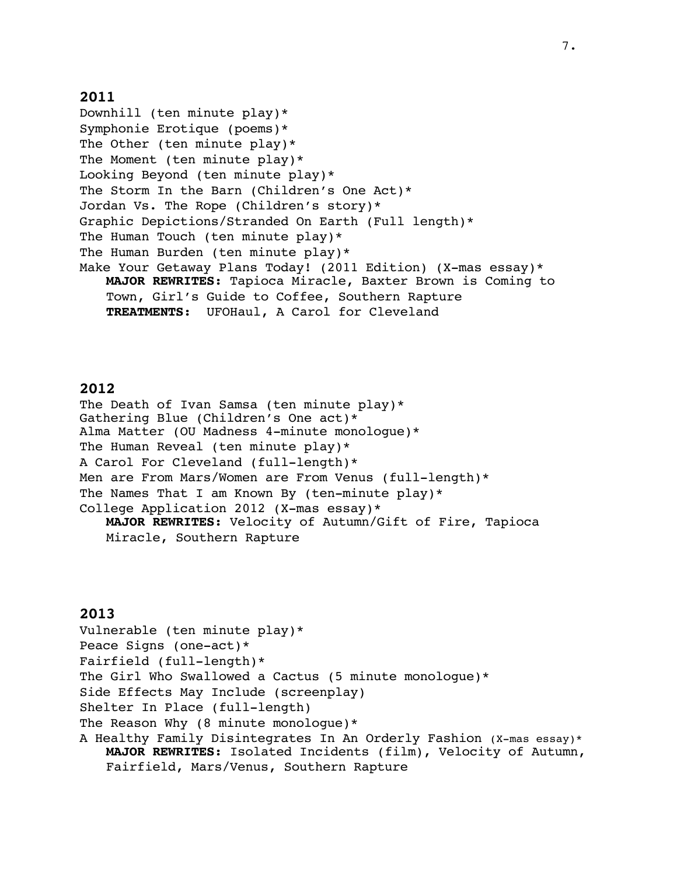Downhill (ten minute play)\* Symphonie Erotique (poems)\* The Other (ten minute play)\* The Moment (ten minute play)\* Looking Beyond (ten minute play)\* The Storm In the Barn (Children's One Act)\* Jordan Vs. The Rope (Children's story)\* Graphic Depictions/Stranded On Earth (Full length)\* The Human Touch (ten minute play)\* The Human Burden (ten minute play)\* Make Your Getaway Plans Today! (2011 Edition) (X-mas essay)\* **MAJOR REWRITES:** Tapioca Miracle, Baxter Brown is Coming to Town, Girl's Guide to Coffee, Southern Rapture **TREATMENTS:** UFOHaul, A Carol for Cleveland

# **2012**

The Death of Ivan Samsa (ten minute play)\* Gathering Blue (Children's One act)\* Alma Matter (OU Madness 4-minute monologue)\* The Human Reveal (ten minute play)\* A Carol For Cleveland (full-length)\* Men are From Mars/Women are From Venus (full-length)\* The Names That I am Known By (ten-minute play)\* College Application 2012 (X-mas essay)\* **MAJOR REWRITES:** Velocity of Autumn/Gift of Fire, Tapioca Miracle, Southern Rapture

# **2013**

Vulnerable (ten minute play)\* Peace Signs (one-act)\* Fairfield (full-length)\* The Girl Who Swallowed a Cactus (5 minute monologue)\* Side Effects May Include (screenplay) Shelter In Place (full-length) The Reason Why (8 minute monologue)\* A Healthy Family Disintegrates In An Orderly Fashion (X-mas essay)\* **MAJOR REWRITES:** Isolated Incidents (film), Velocity of Autumn, Fairfield, Mars/Venus, Southern Rapture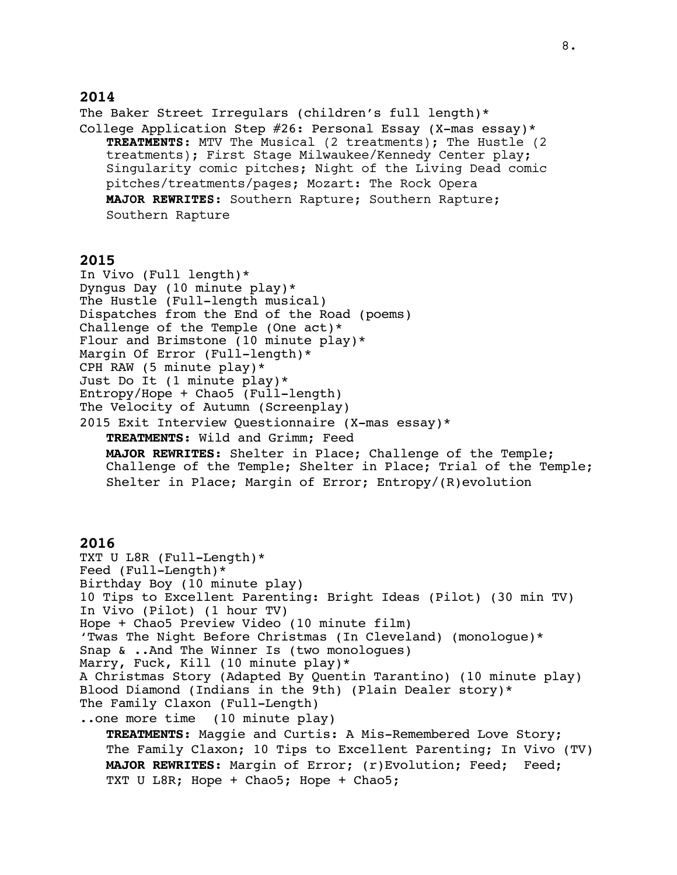The Baker Street Irregulars (children's full length)\* College Application Step  $#26$ : Personal Essay (X-mas essay)\* **TREATMENTS:** MTV The Musical (2 treatments); The Hustle (2 treatments); First Stage Milwaukee/Kennedy Center play; Singularity comic pitches; Night of the Living Dead comic pitches/treatments/pages; Mozart: The Rock Opera **MAJOR REWRITES:** Southern Rapture; Southern Rapture; Southern Rapture

#### **2015**

In Vivo (Full length)\* Dyngus Day (10 minute play)\* The Hustle (Full-length musical) Dispatches from the End of the Road (poems) Challenge of the Temple (One act)\* Flour and Brimstone (10 minute play)\* Margin Of Error (Full-length)\* CPH RAW (5 minute play)\* Just Do It (1 minute play)\* Entropy/Hope + Chao5 (Full-length) The Velocity of Autumn (Screenplay) 2015 Exit Interview Questionnaire (X-mas essay)\* **TREATMENTS:** Wild and Grimm; Feed **MAJOR REWRITES:** Shelter in Place; Challenge of the Temple; Challenge of the Temple; Shelter in Place; Trial of the Temple; Shelter in Place; Margin of Error; Entropy/(R)evolution

#### **2016**

TXT U L8R (Full-Length)\* Feed (Full-Length)\* Birthday Boy (10 minute play) 10 Tips to Excellent Parenting: Bright Ideas (Pilot) (30 min TV) In Vivo (Pilot) (1 hour TV) Hope + Chao5 Preview Video (10 minute film) 'Twas The Night Before Christmas (In Cleveland) (monologue)\* Snap & ..And The Winner Is (two monologues) Marry, Fuck, Kill (10 minute play)\* A Christmas Story (Adapted By Quentin Tarantino) (10 minute play) Blood Diamond (Indians in the 9th) (Plain Dealer story)\* The Family Claxon (Full-Length) ..one more time (10 minute play) **TREATMENTS:** Maggie and Curtis: A Mis-Remembered Love Story; The Family Claxon; 10 Tips to Excellent Parenting; In Vivo (TV) **MAJOR REWRITES:** Margin of Error; (r)Evolution; Feed; Feed; TXT U L8R; Hope + Chao5; Hope + Chao5;